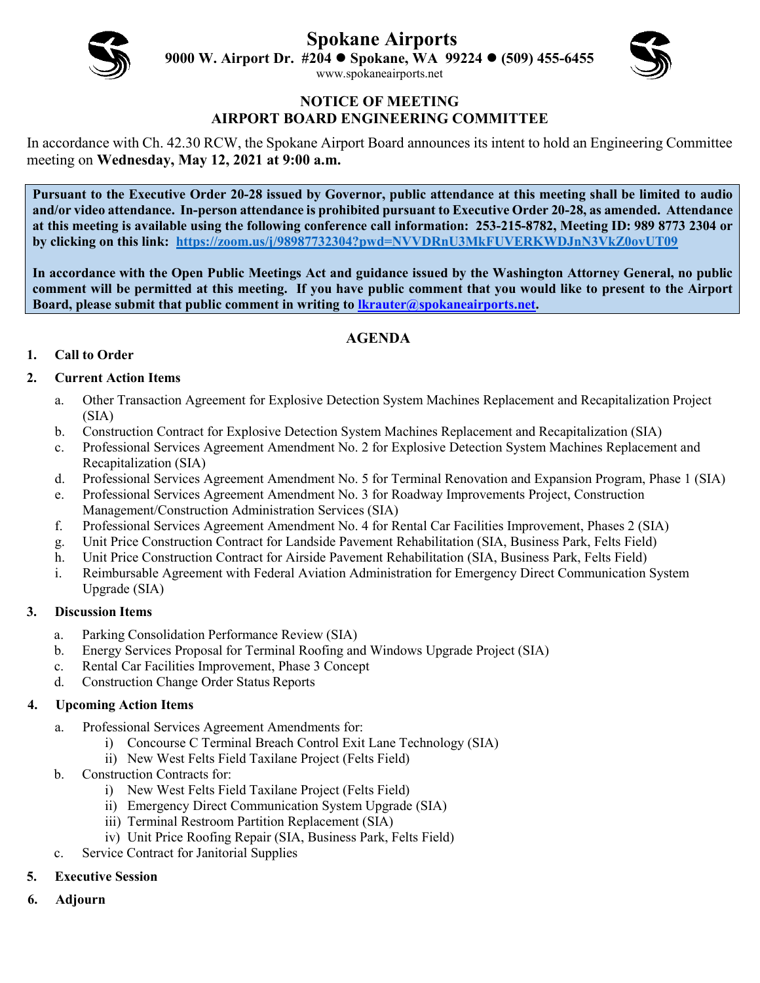**Spokane Airports**

**9000 W. Airport Dr. #204 Spokane, WA 99224 (509) 455-6455** [www.spokaneairports.net](http://www.spokaneairports.net/)



### **NOTICE OF MEETING AIRPORT BOARD ENGINEERING COMMITTEE**

In accordance with Ch. 42.30 RCW, the Spokane Airport Board announces its intent to hold an Engineering Committee meeting on **Wednesday, May 12, 2021 at 9:00 a.m.** 

**Pursuant to the Executive Order 20-28 issued by Governor, public attendance at this meeting shall be limited to audio and/or video attendance. In-person attendance is prohibited pursuant to Executive Order 20-28, as amended. Attendance at this meeting is available using the following conference call information: 253-215-8782, Meeting ID: 989 8773 2304 or by clicking on this link:<https://zoom.us/j/98987732304?pwd=NVVDRnU3MkFUVERKWDJnN3VkZ0ovUT09>**

**In accordance with the Open Public Meetings Act and guidance issued by the Washington Attorney General, no public comment will be permitted at this meeting. If you have public comment that you would like to present to the Airport Board, please submit that public comment in writing to [lkrauter@spokaneairports.net.](mailto:lkrauter@spokaneairports.net)**

## **AGENDA**

### **1. Call to Order**

### **2. Current Action Items**

- a. Other Transaction Agreement for Explosive Detection System Machines Replacement and Recapitalization Project (SIA)
- b. Construction Contract for Explosive Detection System Machines Replacement and Recapitalization (SIA)
- c. Professional Services Agreement Amendment No. 2 for Explosive Detection System Machines Replacement and Recapitalization (SIA)
- d. Professional Services Agreement Amendment No. 5 for Terminal Renovation and Expansion Program, Phase 1 (SIA)
- e. Professional Services Agreement Amendment No. 3 for Roadway Improvements Project, Construction Management/Construction Administration Services (SIA)
- f. Professional Services Agreement Amendment No. 4 for Rental Car Facilities Improvement, Phases 2 (SIA)
- g. Unit Price Construction Contract for Landside Pavement Rehabilitation (SIA, Business Park, Felts Field)
- h. Unit Price Construction Contract for Airside Pavement Rehabilitation (SIA, Business Park, Felts Field)
- i. Reimbursable Agreement with Federal Aviation Administration for Emergency Direct Communication System Upgrade (SIA)

### **3. Discussion Items**

- a. Parking Consolidation Performance Review (SIA)
- b. Energy Services Proposal for Terminal Roofing and Windows Upgrade Project (SIA)
- c. Rental Car Facilities Improvement, Phase 3 Concept
- d. Construction Change Order Status Reports

### **4. Upcoming Action Items**

- a. Professional Services Agreement Amendments for:
	- i) Concourse C Terminal Breach Control Exit Lane Technology (SIA)
	- ii) New West Felts Field Taxilane Project (Felts Field)
- b. Construction Contracts for:
	- i) New West Felts Field Taxilane Project (Felts Field)
	- ii) Emergency Direct Communication System Upgrade (SIA)
	- iii) Terminal Restroom Partition Replacement (SIA)
	- iv) Unit Price Roofing Repair (SIA, Business Park, Felts Field)
- c. Service Contract for Janitorial Supplies
- **5. Executive Session**
- **6. Adjourn**